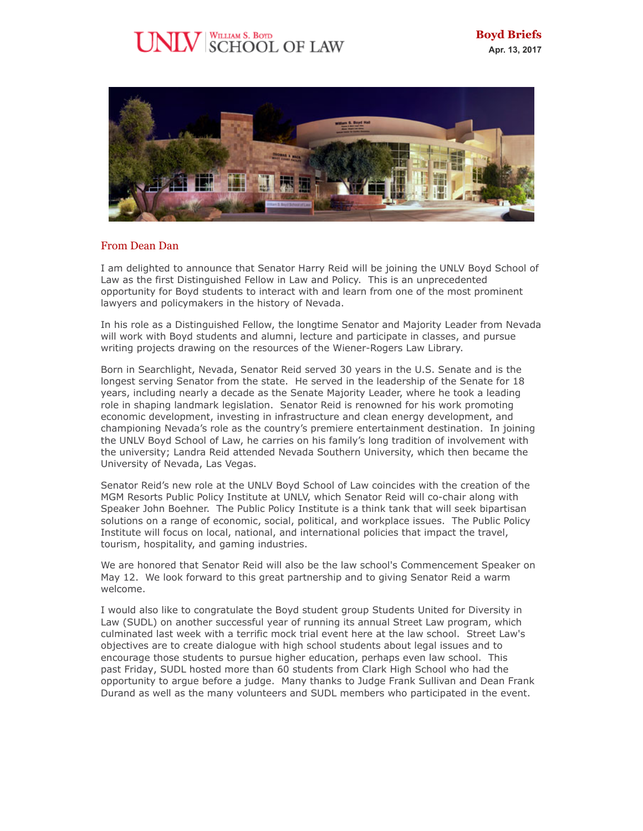# WILLIAM S. BOYD<br>SCHOOL OF LAW



## From Dean Dan

I am delighted to announce that Senator Harry Reid will be joining the UNLV Boyd School of Law as the first Distinguished Fellow in Law and Policy. This is an unprecedented opportunity for Boyd students to interact with and learn from one of the most prominent lawyers and policymakers in the history of Nevada.

In his role as a Distinguished Fellow, the longtime Senator and Majority Leader from Nevada will work with Boyd students and alumni, lecture and participate in classes, and pursue writing projects drawing on the resources of the Wiener-Rogers Law Library.

Born in Searchlight, Nevada, Senator Reid served 30 years in the U.S. Senate and is the longest serving Senator from the state. He served in the leadership of the Senate for 18 years, including nearly a decade as the Senate Majority Leader, where he took a leading role in shaping landmark legislation. Senator Reid is renowned for his work promoting economic development, investing in infrastructure and clean energy development, and championing Nevada's role as the country's premiere entertainment destination. In joining the UNLV Boyd School of Law, he carries on his family's long tradition of involvement with the university; Landra Reid attended Nevada Southern University, which then became the University of Nevada, Las Vegas.

Senator Reid's new role at the UNLV Boyd School of Law coincides with the creation of the MGM Resorts Public Policy Institute at UNLV, which Senator Reid will co-chair along with Speaker John Boehner. The Public Policy Institute is a think tank that will seek bipartisan solutions on a range of economic, social, political, and workplace issues. The Public Policy Institute will focus on local, national, and international policies that impact the travel, tourism, hospitality, and gaming industries.

We are honored that Senator Reid will also be the law school's Commencement Speaker on May 12. We look forward to this great partnership and to giving Senator Reid a warm welcome.

I would also like to congratulate the Boyd student group Students United for Diversity in Law (SUDL) on another successful year of running its annual Street Law program, which culminated last week with a terrific mock trial event here at the law school. Street Law's objectives are to create dialogue with high school students about legal issues and to encourage those students to pursue higher education, perhaps even law school. This past Friday, SUDL hosted more than 60 students from Clark High School who had the opportunity to argue before a judge. Many thanks to Judge Frank Sullivan and Dean Frank Durand as well as the many volunteers and SUDL members who participated in the event.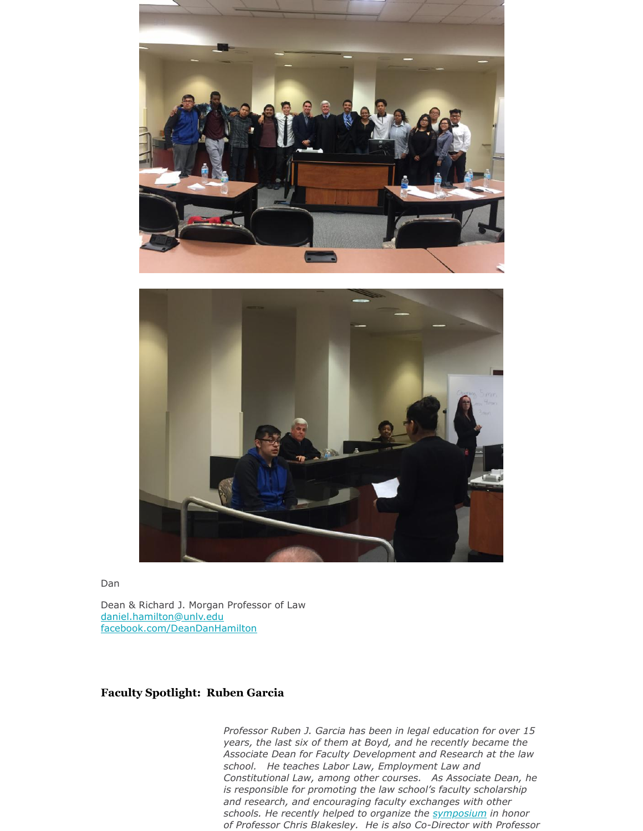



Dan

Dean & Richard J. Morgan Professor of Law [daniel.hamilton@unlv.edu](mailto:daniel.hamilton@unlv.edu) [facebook.com/DeanDanHamilton](http://r20.rs6.net/tn.jsp?f=001hu6mZ-r4pwInu2hXt_dE7ApMwbikuYJ_EQ1JSN_GURWFIVixJ8yWy5r6Zc8eSaTmmatdQfrMcfV8mDiFfoNRUz_xfJ4rwta_Xjr1nuAxckUnnkltOEaaNiCq6oFky5WvHQKWEGiWulykky9qPjBefBFq72KKxotg3FZp90DxVVI=&c=37ZOQu8EN2kmBxeBh2U4w3n3KMNz621K7LBJg4YdHjXn8iD7XOh5dg==&ch=U69Q1DVoTBxd_SaQRq9PiMJhvuW-8ywHRfeXTxj6d2aZHbrnRIRYGg==)

# **Faculty Spotlight: Ruben Garcia**

*Professor Ruben J. Garcia has been in legal education for over 15 years, the last six of them at Boyd, and he recently became the Associate Dean for Faculty Development and Research at the law school. He teaches Labor Law, Employment Law and Constitutional Law, among other courses. As Associate Dean, he is responsible for promoting the law school's faculty scholarship and research, and encouraging faculty exchanges with other schools. He recently helped to organize the [symposium](https://twitter.com/i/moments/850791179742359552) in honor of Professor Chris Blakesley. He is also Co-Director with Professor*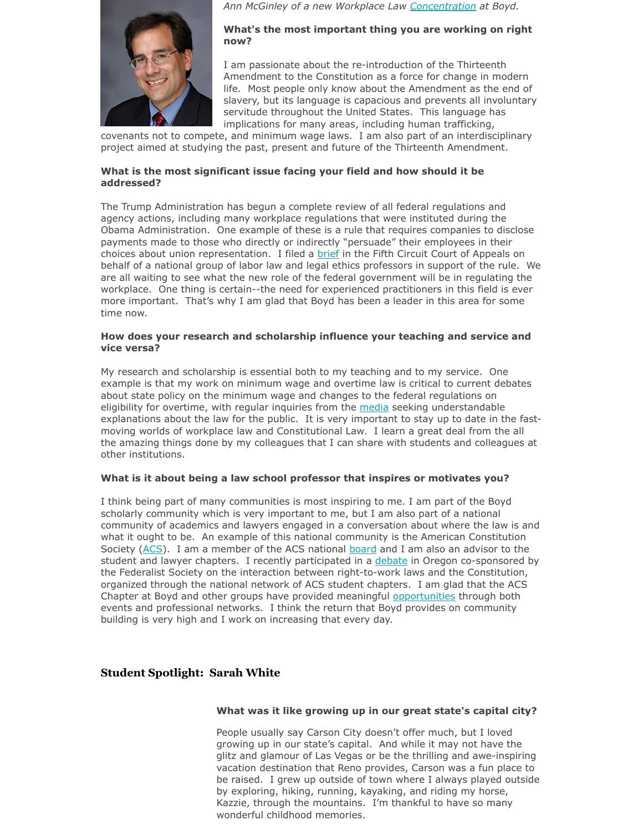

*Ann McGinley of a new Workplace Law [Concentration](http://twitter.com/UNLVWorkLawProg) at Boyd.* 

## **What's the most important thing you are working on right now?**

I am passionate about the re-introduction of the Thirteenth Amendment to the Constitution as a force for change in modern life. Most people only know about the Amendment as the end of slavery, but its language is capacious and prevents all involuntary servitude throughout the United States. This language has implications for many areas, including human trafficking,

covenants not to compete, and minimum wage laws. I am also part of an interdisciplinary project aimed at studying the past, present and future of the Thirteenth Amendment.

## **What is the most significant issue facing your field and how should it be addressed?**

The Trump Administration has begun a complete review of all federal regulations and agency actions, including many workplace regulations that were instituted during the Obama Administration. One example of these is a rule that requires companies to disclose payments made to those who directly or indirectly "persuade" their employees in their choices about union representation. I filed a **brief in the Fifth Circuit Court of Appeals on** behalf of a national group of labor law and legal ethics professors in support of the rule. We are all waiting to see what the new role of the federal government will be in regulating the workplace. One thing is certain--the need for experienced practitioners in this field is ever more important. That's why I am glad that Boyd has been a leader in this area for some time now.

## **How does your research and scholarship influence your teaching and service and vice versa?**

My research and scholarship is essential both to my teaching and to my service. One example is that my work on minimum wage and overtime law is critical to current debates about state policy on the minimum wage and changes to the federal regulations on eligibility for overtime, with regular inquiries from the [media](https://www.unlv.edu/news/expert/ruben-garcia) seeking understandable explanations about the law for the public. It is very important to stay up to date in the fastmoving worlds of workplace law and Constitutional Law. I learn a great deal from the all the amazing things done by my colleagues that I can share with students and colleagues at other institutions.

# **What is it about being a law school professor that inspires or motivates you?**

I think being part of many communities is most inspiring to me. I am part of the Boyd scholarly community which is very important to me, but I am also part of a national community of academics and lawyers engaged in a conversation about where the law is and what it ought to be. An example of this national community is the American Constitution Society [\(ACS](http://acslaw.org/)). I am a member of the ACS national [board](https://www.acslaw.org/about/leadership) and I am also an advisor to the student and lawyer chapters. I recently participated in a [debate](https://twitter.com/profrubengarcia/status/834537036501561345) in Oregon co-sponsored by the Federalist Society on the interaction between right-to-work laws and the Constitution, organized through the national network of ACS student chapters. I am glad that the ACS Chapter at Boyd and other groups have provided meaningful [opportunities](https://twitter.com/profrubengarcia/status/851127490789556224) through both events and professional networks. I think the return that Boyd provides on community building is very high and I work on increasing that every day.

# **Student Spotlight: Sarah White**

## **What was it like growing up in our great state's capital city?**

People usually say Carson City doesn't offer much, but I loved growing up in our state's capital. And while it may not have the glitz and glamour of Las Vegas or be the thrilling and awe-inspiring vacation destination that Reno provides, Carson was a fun place to be raised. I grew up outside of town where I always played outside by exploring, hiking, running, kayaking, and riding my horse, Kazzie, through the mountains. I'm thankful to have so many wonderful childhood memories.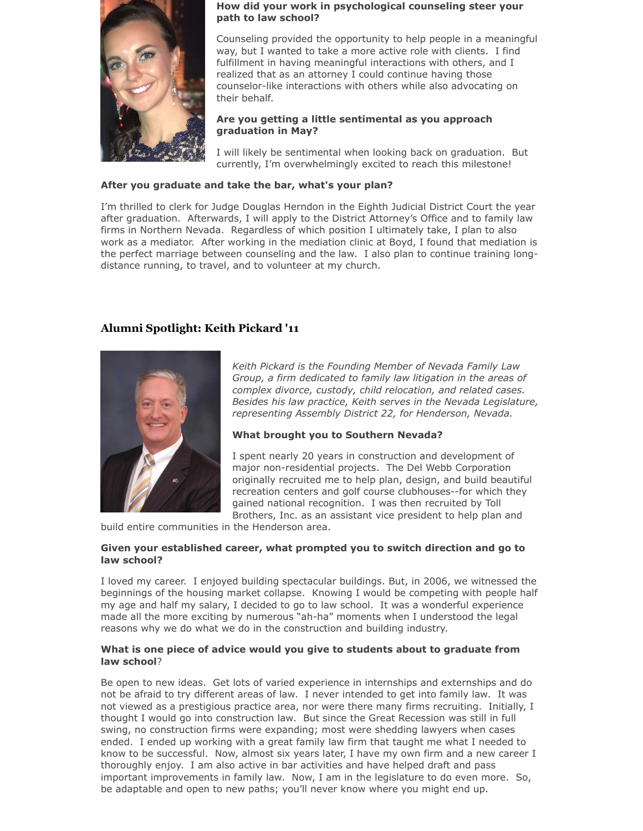

#### **How did your work in psychological counseling steer your path to law school?**

Counseling provided the opportunity to help people in a meaningful way, but I wanted to take a more active role with clients. I find fulfillment in having meaningful interactions with others, and I realized that as an attorney I could continue having those counselor-like interactions with others while also advocating on their behalf.

## **Are you getting a little sentimental as you approach graduation in May?**

I will likely be sentimental when looking back on graduation. But currently, I'm overwhelmingly excited to reach this milestone!

## **After you graduate and take the bar, what's your plan?**

I'm thrilled to clerk for Judge Douglas Herndon in the Eighth Judicial District Court the year after graduation. Afterwards, I will apply to the District Attorney's Office and to family law firms in Northern Nevada. Regardless of which position I ultimately take, I plan to also work as a mediator. After working in the mediation clinic at Boyd, I found that mediation is the perfect marriage between counseling and the law. I also plan to continue training longdistance running, to travel, and to volunteer at my church.

# **Alumni Spotlight: Keith Pickard '11**



*Keith Pickard is the Founding Member of Nevada Family Law Group, a firm dedicated to family law litigation in the areas of complex divorce, custody, child relocation, and related cases. Besides his law practice, Keith serves in the Nevada Legislature, representing Assembly District 22, for Henderson, Nevada.*

# **What brought you to Southern Nevada?**

I spent nearly 20 years in construction and development of major non-residential projects. The Del Webb Corporation originally recruited me to help plan, design, and build beautiful recreation centers and golf course clubhouses--for which they gained national recognition. I was then recruited by Toll Brothers, Inc. as an assistant vice president to help plan and

build entire communities in the Henderson area.

## **Given your established career, what prompted you to switch direction and go to law school?**

I loved my career. I enjoyed building spectacular buildings. But, in 2006, we witnessed the beginnings of the housing market collapse. Knowing I would be competing with people half my age and half my salary, I decided to go to law school. It was a wonderful experience made all the more exciting by numerous "ah-ha" moments when I understood the legal reasons why we do what we do in the construction and building industry.

## **What is one piece of advice would you give to students about to graduate from law school**?

Be open to new ideas. Get lots of varied experience in internships and externships and do not be afraid to try different areas of law. I never intended to get into family law. It was not viewed as a prestigious practice area, nor were there many firms recruiting. Initially, I thought I would go into construction law. But since the Great Recession was still in full swing, no construction firms were expanding; most were shedding lawyers when cases ended. I ended up working with a great family law firm that taught me what I needed to know to be successful. Now, almost six years later, I have my own firm and a new career I thoroughly enjoy. I am also active in bar activities and have helped draft and pass important improvements in family law. Now, I am in the legislature to do even more. So, be adaptable and open to new paths; you'll never know where you might end up.